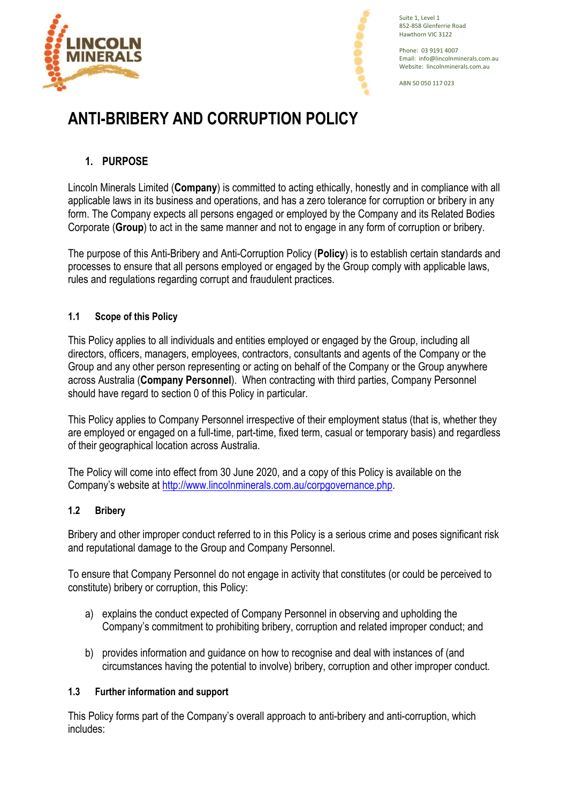



Suite 1, Level 1 852-858 Glenferrie Road Hawthorn VIC 3122

Phone: 03 9191 4007 Email: info@lincolnminerals.com.au Website: lincolnminerals.com.au

ABN 50 050 117 023

# **ANTI-BRIBERY AND CORRUPTION POLICY**

# **1. PURPOSE**

Lincoln Minerals Limited (**Company**) is committed to acting ethically, honestly and in compliance with all applicable laws in its business and operations, and has a zero tolerance for corruption or bribery in any form. The Company expects all persons engaged or employed by the Company and its Related Bodies Corporate (**Group**) to act in the same manner and not to engage in any form of corruption or bribery.

The purpose of this Anti-Bribery and Anti-Corruption Policy (**Policy**) is to establish certain standards and processes to ensure that all persons employed or engaged by the Group comply with applicable laws, rules and regulations regarding corrupt and fraudulent practices.

# **1.1 Scope of this Policy**

This Policy applies to all individuals and entities employed or engaged by the Group, including all directors, officers, managers, employees, contractors, consultants and agents of the Company or the Group and any other person representing or acting on behalf of the Company or the Group anywhere across Australia (**Company Personnel**). When contracting with third parties, Company Personnel should have regard to section 0 of this Policy in particular.

This Policy applies to Company Personnel irrespective of their employment status (that is, whether they are employed or engaged on a full-time, part-time, fixed term, casual or temporary basis) and regardless of their geographical location across Australia.

The Policy will come into effect from 30 June 2020, and a copy of this Policy is available on the Company's website at http://www.lincolnminerals.com.au/corpgovernance.php.

## **1.2 Bribery**

Bribery and other improper conduct referred to in this Policy is a serious crime and poses significant risk and reputational damage to the Group and Company Personnel.

To ensure that Company Personnel do not engage in activity that constitutes (or could be perceived to constitute) bribery or corruption, this Policy:

- a) explains the conduct expected of Company Personnel in observing and upholding the Company's commitment to prohibiting bribery, corruption and related improper conduct; and
- b) provides information and guidance on how to recognise and deal with instances of (and circumstances having the potential to involve) bribery, corruption and other improper conduct.

## **1.3 Further information and support**

This Policy forms part of the Company's overall approach to anti-bribery and anti-corruption, which includes: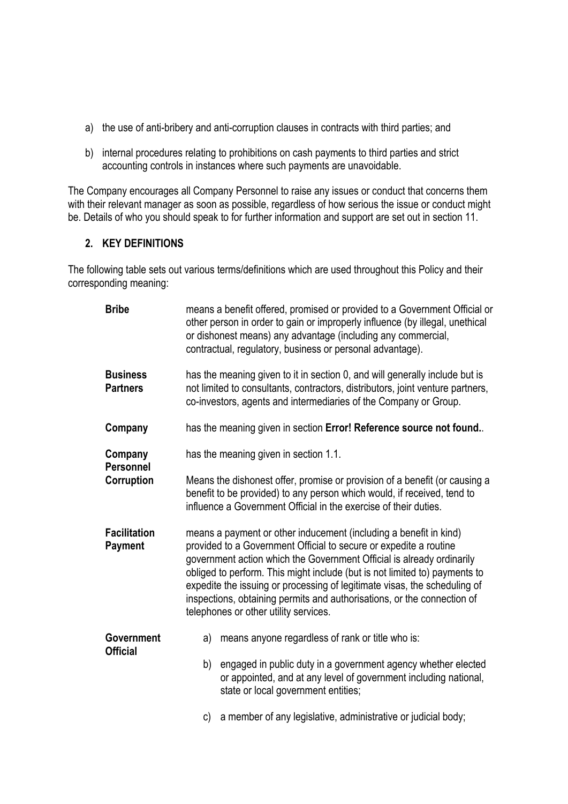- a) the use of anti-bribery and anti-corruption clauses in contracts with third parties; and
- b) internal procedures relating to prohibitions on cash payments to third parties and strict accounting controls in instances where such payments are unavoidable.

The Company encourages all Company Personnel to raise any issues or conduct that concerns them with their relevant manager as soon as possible, regardless of how serious the issue or conduct might be. Details of who you should speak to for further information and support are set out in section 11.

## **2. KEY DEFINITIONS**

The following table sets out various terms/definitions which are used throughout this Policy and their corresponding meaning:

| <b>Bribe</b>                         | means a benefit offered, promised or provided to a Government Official or<br>other person in order to gain or improperly influence (by illegal, unethical<br>or dishonest means) any advantage (including any commercial,<br>contractual, regulatory, business or personal advantage).                                                                                                                                                                                                         |
|--------------------------------------|------------------------------------------------------------------------------------------------------------------------------------------------------------------------------------------------------------------------------------------------------------------------------------------------------------------------------------------------------------------------------------------------------------------------------------------------------------------------------------------------|
| <b>Business</b><br><b>Partners</b>   | has the meaning given to it in section 0, and will generally include but is<br>not limited to consultants, contractors, distributors, joint venture partners,<br>co-investors, agents and intermediaries of the Company or Group.                                                                                                                                                                                                                                                              |
| Company                              | has the meaning given in section Error! Reference source not found                                                                                                                                                                                                                                                                                                                                                                                                                             |
| Company<br><b>Personnel</b>          | has the meaning given in section 1.1.                                                                                                                                                                                                                                                                                                                                                                                                                                                          |
| Corruption                           | Means the dishonest offer, promise or provision of a benefit (or causing a<br>benefit to be provided) to any person which would, if received, tend to<br>influence a Government Official in the exercise of their duties.                                                                                                                                                                                                                                                                      |
| <b>Facilitation</b><br>Payment       | means a payment or other inducement (including a benefit in kind)<br>provided to a Government Official to secure or expedite a routine<br>government action which the Government Official is already ordinarily<br>obliged to perform. This might include (but is not limited to) payments to<br>expedite the issuing or processing of legitimate visas, the scheduling of<br>inspections, obtaining permits and authorisations, or the connection of<br>telephones or other utility services. |
| <b>Government</b><br><b>Official</b> | means anyone regardless of rank or title who is:<br>a)                                                                                                                                                                                                                                                                                                                                                                                                                                         |
|                                      | engaged in public duty in a government agency whether elected<br>b)<br>or appointed, and at any level of government including national,<br>state or local government entities;                                                                                                                                                                                                                                                                                                                 |
|                                      | a member of any legislative, administrative or judicial body;<br>c)                                                                                                                                                                                                                                                                                                                                                                                                                            |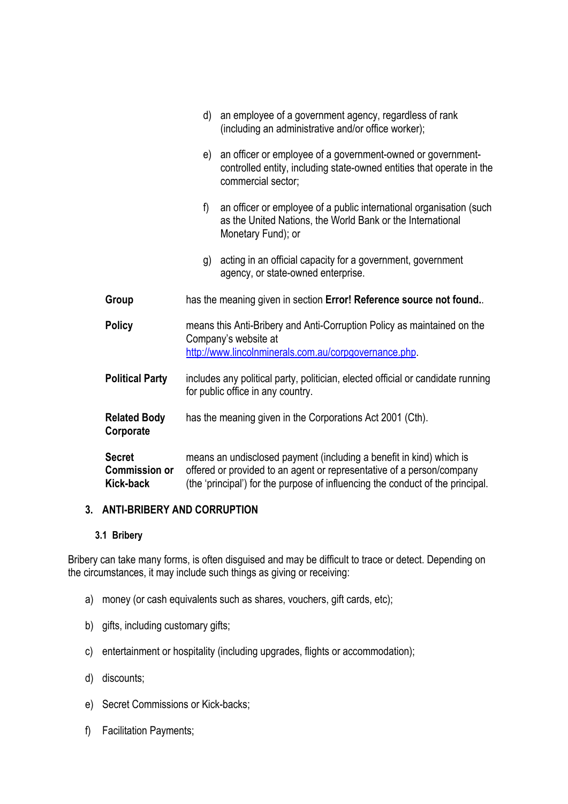|                                                    | an employee of a government agency, regardless of rank<br>d)<br>(including an administrative and/or office worker);                                                                                                            |
|----------------------------------------------------|--------------------------------------------------------------------------------------------------------------------------------------------------------------------------------------------------------------------------------|
|                                                    | an officer or employee of a government-owned or government-<br>e)<br>controlled entity, including state-owned entities that operate in the<br>commercial sector;                                                               |
|                                                    | f)<br>an officer or employee of a public international organisation (such<br>as the United Nations, the World Bank or the International<br>Monetary Fund); or                                                                  |
|                                                    | acting in an official capacity for a government, government<br>g)<br>agency, or state-owned enterprise.                                                                                                                        |
| Group                                              | has the meaning given in section Error! Reference source not found                                                                                                                                                             |
| <b>Policy</b>                                      | means this Anti-Bribery and Anti-Corruption Policy as maintained on the<br>Company's website at<br>http://www.lincolnminerals.com.au/corpgovernance.php.                                                                       |
| <b>Political Party</b>                             | includes any political party, politician, elected official or candidate running<br>for public office in any country.                                                                                                           |
| <b>Related Body</b><br>Corporate                   | has the meaning given in the Corporations Act 2001 (Cth).                                                                                                                                                                      |
| <b>Secret</b><br><b>Commission or</b><br>Kick-back | means an undisclosed payment (including a benefit in kind) which is<br>offered or provided to an agent or representative of a person/company<br>(the 'principal') for the purpose of influencing the conduct of the principal. |

# **3. ANTI-BRIBERY AND CORRUPTION**

#### **3.1 Bribery**

Bribery can take many forms, is often disguised and may be difficult to trace or detect. Depending on the circumstances, it may include such things as giving or receiving:

- a) money (or cash equivalents such as shares, vouchers, gift cards, etc);
- b) gifts, including customary gifts;
- c) entertainment or hospitality (including upgrades, flights or accommodation);
- d) discounts;
- e) Secret Commissions or Kick-backs;
- f) Facilitation Payments;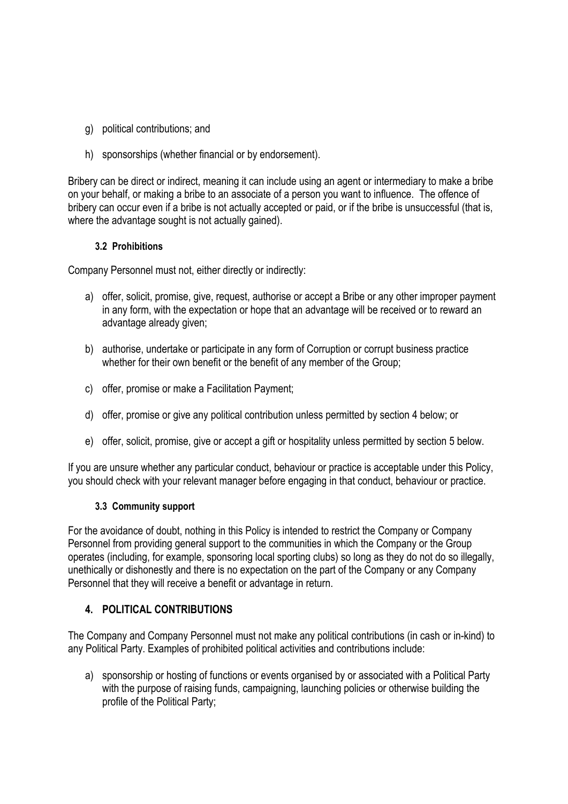- g) political contributions; and
- h) sponsorships (whether financial or by endorsement).

Bribery can be direct or indirect, meaning it can include using an agent or intermediary to make a bribe on your behalf, or making a bribe to an associate of a person you want to influence. The offence of bribery can occur even if a bribe is not actually accepted or paid, or if the bribe is unsuccessful (that is, where the advantage sought is not actually gained).

### **3.2 Prohibitions**

Company Personnel must not, either directly or indirectly:

- a) offer, solicit, promise, give, request, authorise or accept a Bribe or any other improper payment in any form, with the expectation or hope that an advantage will be received or to reward an advantage already given;
- b) authorise, undertake or participate in any form of Corruption or corrupt business practice whether for their own benefit or the benefit of any member of the Group;
- c) offer, promise or make a Facilitation Payment;
- d) offer, promise or give any political contribution unless permitted by section 4 below; or
- e) offer, solicit, promise, give or accept a gift or hospitality unless permitted by section 5 below.

If you are unsure whether any particular conduct, behaviour or practice is acceptable under this Policy, you should check with your relevant manager before engaging in that conduct, behaviour or practice.

#### **3.3 Community support**

For the avoidance of doubt, nothing in this Policy is intended to restrict the Company or Company Personnel from providing general support to the communities in which the Company or the Group operates (including, for example, sponsoring local sporting clubs) so long as they do not do so illegally, unethically or dishonestly and there is no expectation on the part of the Company or any Company Personnel that they will receive a benefit or advantage in return.

## **4. POLITICAL CONTRIBUTIONS**

The Company and Company Personnel must not make any political contributions (in cash or in-kind) to any Political Party. Examples of prohibited political activities and contributions include:

a) sponsorship or hosting of functions or events organised by or associated with a Political Party with the purpose of raising funds, campaigning, launching policies or otherwise building the profile of the Political Party;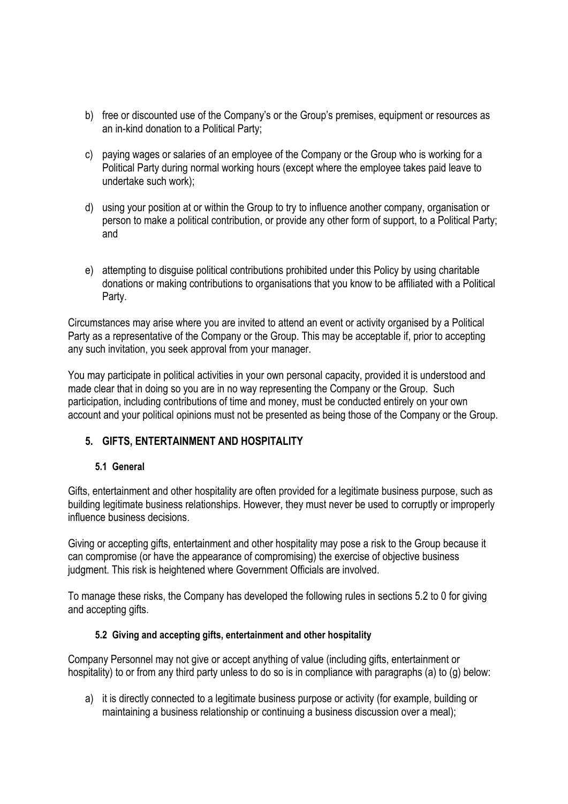- b) free or discounted use of the Company's or the Group's premises, equipment or resources as an in-kind donation to a Political Party;
- c) paying wages or salaries of an employee of the Company or the Group who is working for a Political Party during normal working hours (except where the employee takes paid leave to undertake such work);
- d) using your position at or within the Group to try to influence another company, organisation or person to make a political contribution, or provide any other form of support, to a Political Party; and
- e) attempting to disguise political contributions prohibited under this Policy by using charitable donations or making contributions to organisations that you know to be affiliated with a Political Party.

Circumstances may arise where you are invited to attend an event or activity organised by a Political Party as a representative of the Company or the Group. This may be acceptable if, prior to accepting any such invitation, you seek approval from your manager.

You may participate in political activities in your own personal capacity, provided it is understood and made clear that in doing so you are in no way representing the Company or the Group. Such participation, including contributions of time and money, must be conducted entirely on your own account and your political opinions must not be presented as being those of the Company or the Group.

# **5. GIFTS, ENTERTAINMENT AND HOSPITALITY**

#### **5.1 General**

Gifts, entertainment and other hospitality are often provided for a legitimate business purpose, such as building legitimate business relationships. However, they must never be used to corruptly or improperly influence business decisions.

Giving or accepting gifts, entertainment and other hospitality may pose a risk to the Group because it can compromise (or have the appearance of compromising) the exercise of objective business judgment. This risk is heightened where Government Officials are involved.

To manage these risks, the Company has developed the following rules in sections 5.2 to 0 for giving and accepting gifts.

## **5.2 Giving and accepting gifts, entertainment and other hospitality**

Company Personnel may not give or accept anything of value (including gifts, entertainment or hospitality) to or from any third party unless to do so is in compliance with paragraphs (a) to (g) below:

a) it is directly connected to a legitimate business purpose or activity (for example, building or maintaining a business relationship or continuing a business discussion over a meal);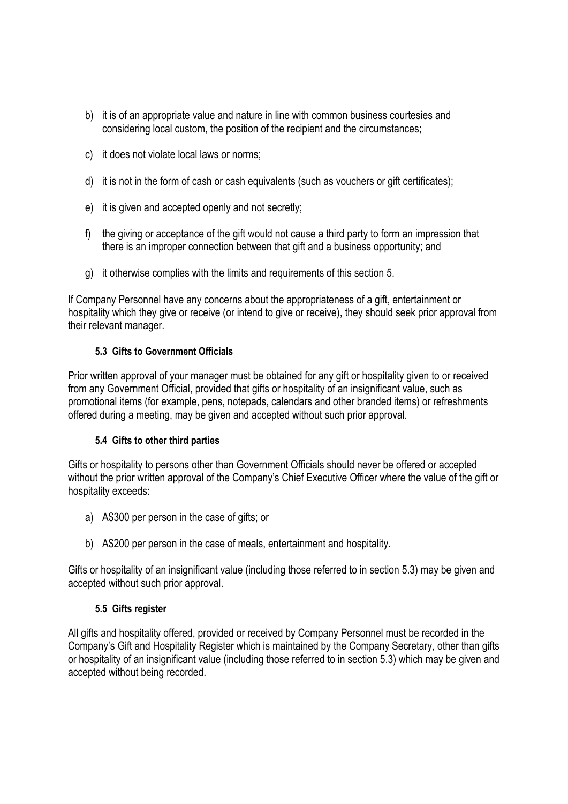- b) it is of an appropriate value and nature in line with common business courtesies and considering local custom, the position of the recipient and the circumstances;
- c) it does not violate local laws or norms;
- d) it is not in the form of cash or cash equivalents (such as vouchers or gift certificates);
- e) it is given and accepted openly and not secretly;
- f) the giving or acceptance of the gift would not cause a third party to form an impression that there is an improper connection between that gift and a business opportunity; and
- g) it otherwise complies with the limits and requirements of this section 5.

If Company Personnel have any concerns about the appropriateness of a gift, entertainment or hospitality which they give or receive (or intend to give or receive), they should seek prior approval from their relevant manager.

## **5.3 Gifts to Government Officials**

Prior written approval of your manager must be obtained for any gift or hospitality given to or received from any Government Official, provided that gifts or hospitality of an insignificant value, such as promotional items (for example, pens, notepads, calendars and other branded items) or refreshments offered during a meeting, may be given and accepted without such prior approval.

## **5.4 Gifts to other third parties**

Gifts or hospitality to persons other than Government Officials should never be offered or accepted without the prior written approval of the Company's Chief Executive Officer where the value of the gift or hospitality exceeds:

- a) A\$300 per person in the case of gifts; or
- b) A\$200 per person in the case of meals, entertainment and hospitality.

Gifts or hospitality of an insignificant value (including those referred to in section 5.3) may be given and accepted without such prior approval.

## **5.5 Gifts register**

All gifts and hospitality offered, provided or received by Company Personnel must be recorded in the Company's Gift and Hospitality Register which is maintained by the Company Secretary, other than gifts or hospitality of an insignificant value (including those referred to in section 5.3) which may be given and accepted without being recorded.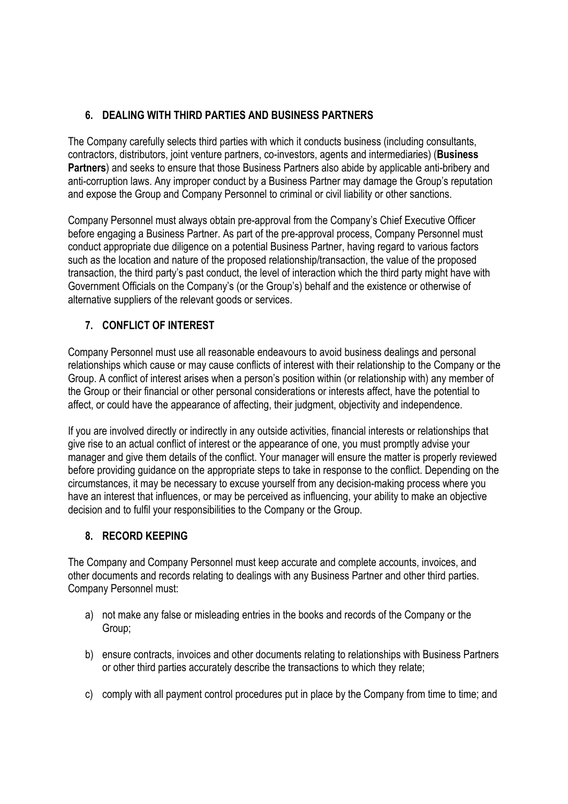# **6. DEALING WITH THIRD PARTIES AND BUSINESS PARTNERS**

The Company carefully selects third parties with which it conducts business (including consultants, contractors, distributors, joint venture partners, co-investors, agents and intermediaries) (**Business Partners**) and seeks to ensure that those Business Partners also abide by applicable anti-bribery and anti-corruption laws. Any improper conduct by a Business Partner may damage the Group's reputation and expose the Group and Company Personnel to criminal or civil liability or other sanctions.

Company Personnel must always obtain pre-approval from the Company's Chief Executive Officer before engaging a Business Partner. As part of the pre-approval process, Company Personnel must conduct appropriate due diligence on a potential Business Partner, having regard to various factors such as the location and nature of the proposed relationship/transaction, the value of the proposed transaction, the third party's past conduct, the level of interaction which the third party might have with Government Officials on the Company's (or the Group's) behalf and the existence or otherwise of alternative suppliers of the relevant goods or services.

# **7. CONFLICT OF INTEREST**

Company Personnel must use all reasonable endeavours to avoid business dealings and personal relationships which cause or may cause conflicts of interest with their relationship to the Company or the Group. A conflict of interest arises when a person's position within (or relationship with) any member of the Group or their financial or other personal considerations or interests affect, have the potential to affect, or could have the appearance of affecting, their judgment, objectivity and independence.

If you are involved directly or indirectly in any outside activities, financial interests or relationships that give rise to an actual conflict of interest or the appearance of one, you must promptly advise your manager and give them details of the conflict. Your manager will ensure the matter is properly reviewed before providing guidance on the appropriate steps to take in response to the conflict. Depending on the circumstances, it may be necessary to excuse yourself from any decision-making process where you have an interest that influences, or may be perceived as influencing, your ability to make an objective decision and to fulfil your responsibilities to the Company or the Group.

# **8. RECORD KEEPING**

The Company and Company Personnel must keep accurate and complete accounts, invoices, and other documents and records relating to dealings with any Business Partner and other third parties. Company Personnel must:

- a) not make any false or misleading entries in the books and records of the Company or the Group;
- b) ensure contracts, invoices and other documents relating to relationships with Business Partners or other third parties accurately describe the transactions to which they relate;
- c) comply with all payment control procedures put in place by the Company from time to time; and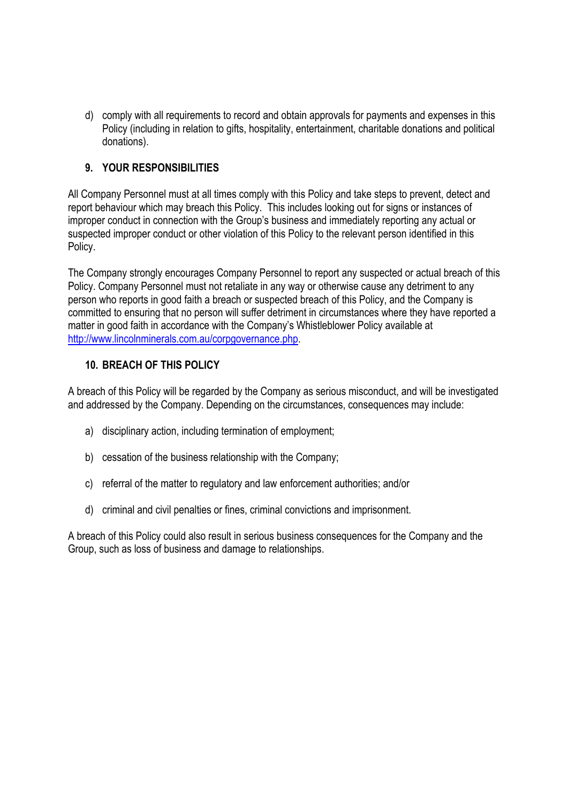d) comply with all requirements to record and obtain approvals for payments and expenses in this Policy (including in relation to gifts, hospitality, entertainment, charitable donations and political donations).

## **9. YOUR RESPONSIBILITIES**

All Company Personnel must at all times comply with this Policy and take steps to prevent, detect and report behaviour which may breach this Policy. This includes looking out for signs or instances of improper conduct in connection with the Group's business and immediately reporting any actual or suspected improper conduct or other violation of this Policy to the relevant person identified in this Policy.

The Company strongly encourages Company Personnel to report any suspected or actual breach of this Policy. Company Personnel must not retaliate in any way or otherwise cause any detriment to any person who reports in good faith a breach or suspected breach of this Policy, and the Company is committed to ensuring that no person will suffer detriment in circumstances where they have reported a matter in good faith in accordance with the Company's Whistleblower Policy available at http://www.lincolnminerals.com.au/corpgovernance.php.

## **10. BREACH OF THIS POLICY**

A breach of this Policy will be regarded by the Company as serious misconduct, and will be investigated and addressed by the Company. Depending on the circumstances, consequences may include:

- a) disciplinary action, including termination of employment;
- b) cessation of the business relationship with the Company;
- c) referral of the matter to regulatory and law enforcement authorities; and/or
- d) criminal and civil penalties or fines, criminal convictions and imprisonment.

A breach of this Policy could also result in serious business consequences for the Company and the Group, such as loss of business and damage to relationships.